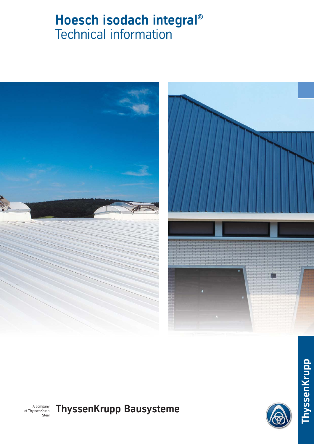# **Hoesch isodach integral®** Technical information







A company of ThyssenKrupp Steel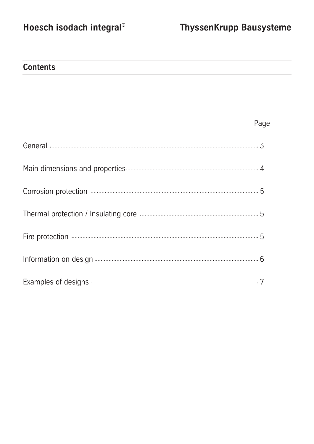## **Contents**

### Page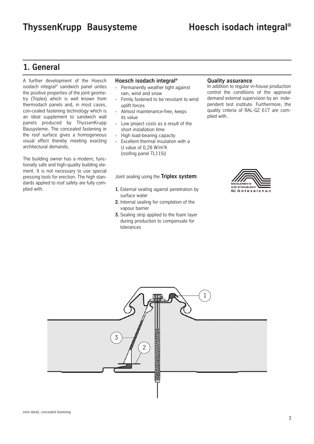### **1. General**

A further development of the Hoesch isodach integral® sandwich panel unites the positive properties of the joint geometry (Triplex) which is well known from thermodach panels and, in most cases, con-cealed fastening technology which is an ideal supplement to sandwich wall panels produced by ThyssenKrupp Bausysteme. The concealed fastening in the roof surface gives a homogeneous visual effect thereby meeting exacting architectural demands.

The building owner has a modern, functionally safe and high-quality building element. It is not necessary to use special pressing tools for erection. The high standards applied to roof safety are fully complied with.

### **Hoesch isodach integral®**

- Permanently weather tight against rain, wind and snow
- Firmly fastened to be resistant to wind uplift forces
- Almost maintenance-free, keeps its value
- Low project costs as a result of the short installation time
- High load-bearing capacity
- Excellent thermal insulation with a U value of  $0,28$  W/m<sup>2</sup>K (roofing panel TL115i)

Joint sealing using the **Triplex system:**

- **1.** External sealing against penetration by surface water
- **2.** Internal sealing for completion of the vapour barrier
- **3.** Sealing strip applied to the foam layer during production to compensate for tolerances

### **Quality assurance**

In addition to regular in-house production control the conditions of the approval demand external supervision by an independent test institute. Furthermore, the quality criteria of RAL-GZ 617 are complied with.



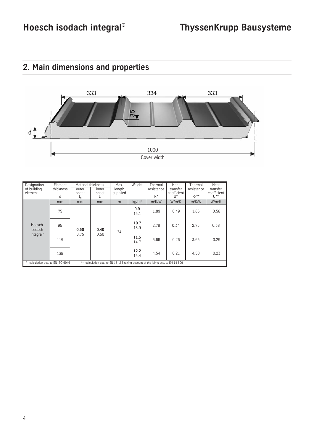

## **2. Main dimensions and properties**

| Designation<br>of building<br>element                                                                                      | Element<br>thickness<br>d | Material thickness<br>outer<br>sheet<br>$\mathfrak{r}_{\scriptscriptstyle\mathsf{N}}$ | inner<br>sheet<br>$t_{\scriptscriptstyle\rm N}$ | Max.<br>length<br>supplied | Weight       | Thermal<br>resistance<br>$R^*$ | Heat<br>transfer<br>coefficient<br>$U^*$ | Thermal<br>resistance<br>$R_0$ ** | Heat<br>transfer<br>coefficient<br>$  ^{**}$ |
|----------------------------------------------------------------------------------------------------------------------------|---------------------------|---------------------------------------------------------------------------------------|-------------------------------------------------|----------------------------|--------------|--------------------------------|------------------------------------------|-----------------------------------|----------------------------------------------|
| Hoesch<br>isodach<br>integral <sup>®</sup>                                                                                 | mm                        | mm                                                                                    | mm                                              | m                          | $kq/m^2$     | $m^2$ K/W                      | $W/m^2K$                                 | $m^2$ K/W                         | $W/m^2K$                                     |
|                                                                                                                            | 75                        | 0.50<br>0.75                                                                          | 0.40<br>0.50                                    | 24                         | 9.9<br>13.1  | 1.89                           | 0.49                                     | 1.85                              | 0.56                                         |
|                                                                                                                            | 95                        |                                                                                       |                                                 |                            | 10.7<br>13.9 | 2.78                           | 0.34                                     | 2.75                              | 0.38                                         |
|                                                                                                                            | 115                       |                                                                                       |                                                 |                            | 11.5<br>14.7 | 3.66                           | 0.26                                     | 3.65                              | 0.29                                         |
|                                                                                                                            | 135                       |                                                                                       |                                                 |                            | 12.2<br>15.4 | 4.54                           | 0.21                                     | 4.50                              | 0.23                                         |
| $***$<br>* calculation acc. to EN ISO 6946<br>calculation acc. to EN 13 165 taking account of the joints acc. to EN 14 509 |                           |                                                                                       |                                                 |                            |              |                                |                                          |                                   |                                              |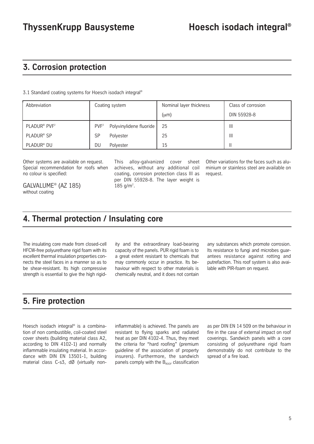### **3. Corrosion protection**

3.1 Standard coating systems for Hoesch isodach integral®

| Abbreviation                         | Coating system                              | Nominal layer thickness | Class of corrosion |  |
|--------------------------------------|---------------------------------------------|-------------------------|--------------------|--|
|                                      |                                             | $(\mu m)$               | DIN 55928-8        |  |
| PLADUR <sup>®</sup> PVF <sup>2</sup> | PVF <sup>2</sup><br>Polyvinylidene fluoride | 25                      | Ш                  |  |
| PLADUR <sup>®</sup> SP               | SP<br>Polyester                             | 25                      | Ш                  |  |
| PLADUR <sup>®</sup> DU               | DU<br>Polyester                             | 15                      |                    |  |

Other systems are available on request. Special recommendation for roofs when no colour is specified:

GALVALUME® (AZ 185) without coating

This alloy-galvanized cover sheet achieves, without any additional coil coating, corrosion protection class III as per DIN 55928-8. The layer weight is 185 g/m<sup>2</sup>.

Other variations for the faces such as aluminium or stainless steel are available on request.

### **4. Thermal protection / Insulating core**

The insulating core made from closed-cell HFCW-free polyurethane rigid foam with its excellent thermal insulation properties connects the steel faces in a manner so as to be shear-resistant. Its high compressive strength is essential to give the high rigid-

ity and the extraordinary load-bearing capacity of the panels. PUR rigid foam is to a great extent resistant to chemicals that may commonly occur in practice. Its behaviour with respect to other materials is chemically neutral, and it does not contain

any substances which promote corrosion. Its resistance to fungi and microbes guarantees resistance against rotting and putrefaction. This roof system is also available with PIR-foam on request.

### **5. Fire protection**

Hoesch isodach integral® is a combination of non combustible, coil-coated steel cover sheets (building material class A2, according to DIN 4102-1) and normally inflammable insulating material. In accordance with DIN EN 13501-1, building material class C-s3, dØ (virtually noninflammable) is achieved. The panels are resistant to flying sparks and radiated heat as per DIN 4102-4. Thus, they meet the criteria for "hard roofing" (premium guideline of the association of property insurers). Furthermore, the sandwich panels comply with the  $B_{\text{ROOF}}$  classification

as per DIN EN 14 509 on the behaviour in fire in the case of external impact on roof coverings. Sandwich panels with a core consisting of polyurethane rigid foam demonstrably do not contribute to the spread of a fire load.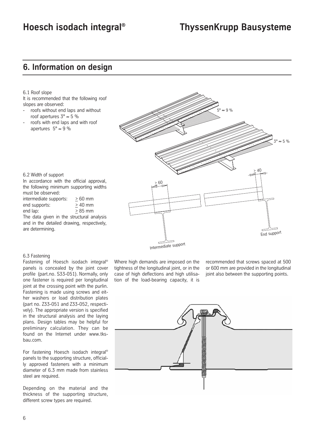### **Hoesch isodach integral® ThyssenKrupp Bausysteme**

### **6. Information on design**

6.1 Roof slope

It is recommended that the following roof slopes are observed:

- roofs without end laps and without roof apertures  $3^\circ \approx 5\%$
- roofs with end laps and with roof apertures  $5^{\circ} \approx 9 \%$

 $5^\circ \approx 9 \%$  $3^{\circ}$  ≈ 5 % > $60$ Intermediate support<br>Intermediate support

6.2 Width of support In accordance with the official approval,

the following minimum supporting widths must be observed:

| intermediate supports:                     | $>60$ mm |
|--------------------------------------------|----------|
| end supports:                              | $>40$ mm |
| end lap:                                   | $>85$ mm |
| The data given in the structural analysis  |          |
| and in the detailed drawing, respectively, |          |

### 6.3 Fastening

are determining.

Fastening of Hoesch isodach integral® panels is concealed by the joint cover profile (part.no. S33-051). Normally, only one fastener is required per longitudinal joint at the crossing point with the purlin. Fastening is made using screws and either washers or load distribution plates (part no. Z33-051 and Z33-052, respectively). The appropriate version is specified in the structural analysis and the laying plans. Design tables may be helpful for preliminary calculation. They can be found on the Internet under www.tksbau.com.

For fastening Hoesch isodach integral® panels to the supporting structure, officially approved fasteners with a minimum diameter of 6.3 mm made from stainless steel are required.

Depending on the material and the thickness of the supporting structure, different screw types are required.

Where high demands are imposed on the tightness of the longitudinal joint, or in the case of high deflections and high utilisation of the load-bearing capacity, it is

recommended that screws spaced at 500 or 600 mm are provided in the longitudinal joint also between the supporting points.

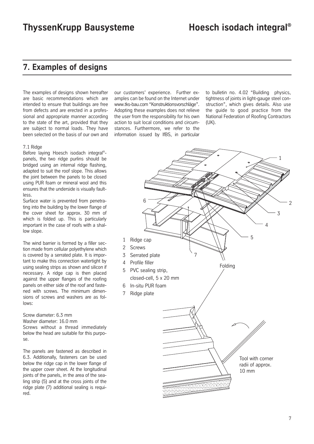### **7. Examples of designs**

The examples of designs shown hereafter are basic recommendations which are intended to ensure that buildings are free from defects and are erected in a professional and appropriate manner according to the state of the art, provided that they are subject to normal loads. They have been selected on the basis of our own and

#### 7.1 Ridge

Before laying Hoesch isodach integral® panels, the two ridge purlins should be bridged using an internal ridge flashing, adapted to suit the roof slope. This allows the joint between the panels to be closed using PUR foam or mineral wool and this ensures that the underside is visually faultless.

Surface water is prevented from penetrating into the building by the lower flange of the cover sheet for approx. 30 mm of which is folded up. This is particularly important in the case of roofs with a shallow slope.

The wind barrier is formed by a filler section made from cellular polyethylene which is covered by a serrated plate. It is important to make this connection watertight by using sealing strips as shown and silicon if necessary. A ridge cap is then placed against the upper flanges of the roofing panels on either side of the roof and fastened with screws. The minimum dimensions of screws and washers are as follows:

Screw diameter: 6.3 mm Washer diameter: 16.0 mm Screws without a thread immediately below the head are suitable for this purpose.

The panels are fastened as described in 6.3. Additionally, fasteners can be used below the ridge cap in the lower flange of the upper cover sheet. At the longitudinal joints of the panels, in the area of the sealing strip (5) and at the cross joints of the ridge plate (7) additional sealing is required.

our customers' experience. Further examples can be found on the Internet under www.tks-bau.com "Konstruktionsvorschläge". Adopting these examples does not relieve the user from the responsibility for his own action to suit local conditions and circumstances. Furthermore, we refer to the information issued by IfBS, in particular

to bulletin no. 4.02 "Building physics, tightness of joints in light-gauge steel construction", which gives details. Also use the guide to good practice from the National Federation of Roofing Contractors (UK).

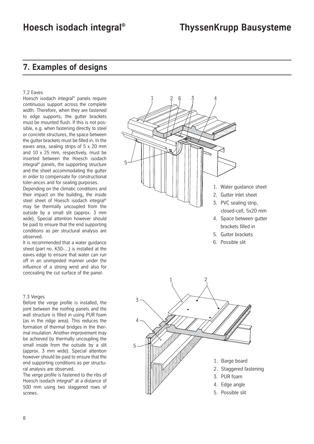### **Hoesch isodach integral® ThyssenKrupp Bausysteme**

### **7. Examples of designs**

#### 7.2 Eaves

Hoesch isodach integral® panels require continuous support across the complete width. Therefore, when they are fastened to edge supports, the gutter brackets must be mounted flush. If this is not possible, e.g. when fastening directly to steel or concrete structures, the space between the gutter brackets must be filled in. In the eaves area, sealing strips of 5 x 20 mm and 10 x 25 mm, respectively, must be inserted between the Hoesch isodach integral® panels, the supporting structure and the sheet accommodating the gutter in order to compensate for constructional toler-ances and for sealing purposes.

Depending on the climatic conditions and their impact on the building, the inside steel sheet of Hoesch isodach integral® may be thermally uncoupled from the outside by a small slit (approx. 3 mm wide). Special attention however should be paid to ensure that the end supporting conditions as per structural analysis are observed.

It is recommended that a water guidance sheet (part no. K30-...) is installed at the eaves edge to ensure that water can run off in an unimpeded manner under the influence of a strong wind and also for concealing the cut surface of the panel.

#### 7.3 Verges

Before the verge profile is installed, the joint between the roofing panels and the wall structure is filled in using PUR foam (as in the ridge area). This reduces the formation of thermal bridges in the thermal insulation. Another improvement may be achieved by thermally uncoupling the small inside from the outside by a slit (approx. 3 mm wide). Special attention however should be paid to ensure that the end supporting conditions as per structural analysis are observed.

The verge profile is fastened to the ribs of Hoesch isodach integral® at a distance of 500 mm using two staggered rows of screws.



- 5. Gutter brackets
- 6. Possible slit

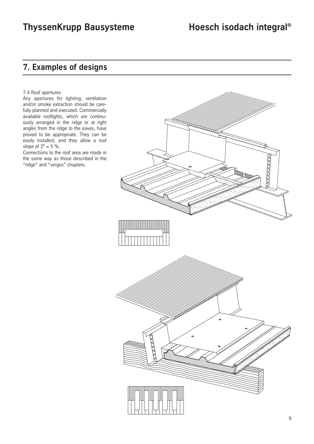## **ThyssenKrupp Bausysteme Hoesch isodach integral®**

### **7. Examples of designs**

#### 7.4 Roof apertures

Any apertures for lighting, ventilation and/or smoke extraction should be carefully planned and executed. Commercially available rooflights, which are continuously arranged in the ridge or at right angles from the ridge to the eaves, have proved to be appropriate. They can be easily installed, and they allow a roof slope of  $3^\circ \approx 5\%$ .

Connections to the roof area are made in the same way as those described in the "ridge" and "verges" chapters.

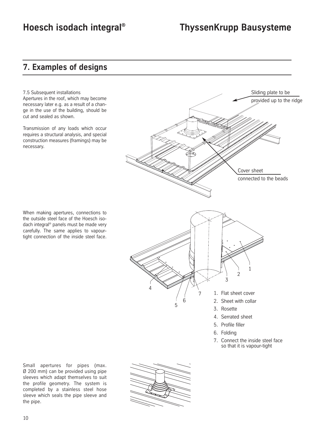### **Hoesch isodach integral® ThyssenKrupp Bausysteme**

### **7. Examples of designs**

7.5 Subsequent installations Apertures in the roof, which may become necessary later e.g. as a result of a change in the use of the building, should be cut and sealed as shown.

Transmission of any loads which occur requires a structural analysis, and special construction measures (framings) may be necessary.

When making apertures, connections to the outside steel face of the Hoesch isodach integral® panels must be made very carefully. The same applies to vapourtight connection of the inside steel face.

5 6 4 3 2 1 1. Flat sheet cover 2. Sheet with collar 3. Rosette 4. Serrated sheet 5. Profile filler 6. Folding 7. Connect the inside steel face so that it is vapour-tight Sliding plate to be provided up to the ridge Cover sheet connected to the beads 7

Small apertures for pipes (max. Ø 200 mm) can be provided using pipe sleeves which adapt themselves to suit the profile geometry. The system is completed by a stainless steel hose sleeve which seals the pipe sleeve and the pipe.